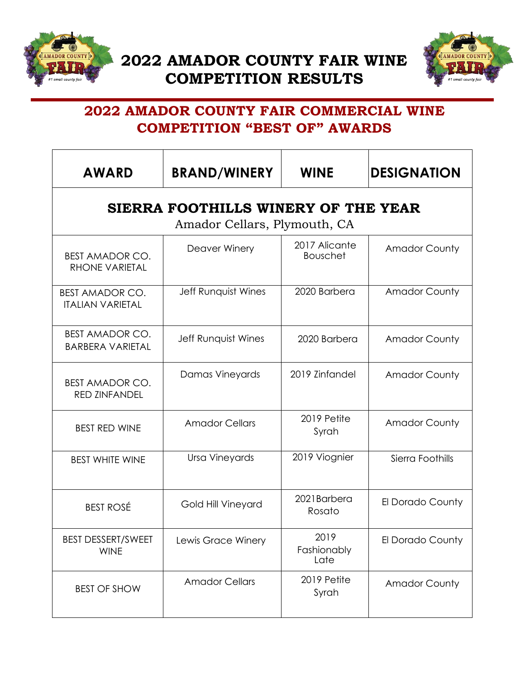



## **2022 AMADOR COUNTY FAIR COMMERCIAL WINE COMPETITION "BEST OF" AWARDS**

| <b>AWARD</b>                                      | <b>BRAND/WINERY</b>                                                 | <b>WINE</b>                      | <b>DESIGNATION</b>   |
|---------------------------------------------------|---------------------------------------------------------------------|----------------------------------|----------------------|
|                                                   | SIERRA FOOTHILLS WINERY OF THE YEAR<br>Amador Cellars, Plymouth, CA |                                  |                      |
| <b>BEST AMADOR CO.</b><br>RHONE VARIETAL          | Deaver Winery                                                       | 2017 Alicante<br><b>Bouschet</b> | <b>Amador County</b> |
| <b>BEST AMADOR CO.</b><br><b>ITALIAN VARIETAL</b> | Jeff Runquist Wines                                                 | 2020 Barbera                     | <b>Amador County</b> |
| <b>BEST AMADOR CO.</b><br><b>BARBERA VARIETAL</b> | Jeff Runquist Wines                                                 | 2020 Barbera                     | <b>Amador County</b> |
| <b>BEST AMADOR CO.</b><br><b>RED ZINFANDEL</b>    | Damas Vineyards                                                     | 2019 Zinfandel                   | <b>Amador County</b> |
| <b>BEST RED WINE</b>                              | <b>Amador Cellars</b>                                               | 2019 Petite<br>Syrah             | <b>Amador County</b> |
| <b>BEST WHITE WINE</b>                            | <b>Ursa Vineyards</b>                                               | 2019 Viognier                    | Sierra Foothills     |
| <b>BEST ROSÉ</b>                                  | Gold Hill Vineyard                                                  | 2021Barbera<br>Rosato            | El Dorado County     |
| <b>BEST DESSERT/SWEET</b><br><b>WINE</b>          | Lewis Grace Winery                                                  | 2019<br>Fashionably<br>Late      | El Dorado County     |
| <b>BEST OF SHOW</b>                               | <b>Amador Cellars</b>                                               | 2019 Petite<br>Syrah             | <b>Amador County</b> |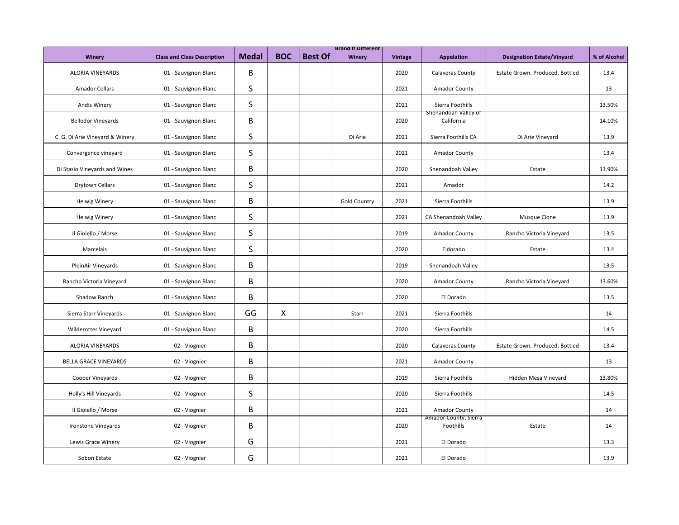|                                 |                                    |              |                           |                | <b>Brand It Different</b> |                |                                    |                                   |              |
|---------------------------------|------------------------------------|--------------|---------------------------|----------------|---------------------------|----------------|------------------------------------|-----------------------------------|--------------|
| Winery                          | <b>Class and Class Description</b> | <b>Medal</b> | <b>BOC</b>                | <b>Best Of</b> | Winery                    | <b>Vintage</b> | <b>Appelation</b>                  | <b>Designation Estate/Vinyard</b> | % of Alcohol |
| <b>ALORIA VINEYARDS</b>         | 01 - Sauvignon Blanc               | B            |                           |                |                           | 2020           | Calaveras County                   | Estate Grown. Produced, Bottled   | 13.4         |
| <b>Amador Cellars</b>           | 01 - Sauvignon Blanc               | $\sf S$      |                           |                |                           | 2021           | <b>Amador County</b>               |                                   | 13           |
| <b>Andis Winery</b>             | 01 - Sauvignon Blanc               | S            |                           |                |                           | 2021           | Sierra Foothills                   |                                   | 13.50%       |
| <b>Belledor Vineyards</b>       | 01 - Sauvignon Blanc               | B            |                           |                |                           | 2020           | Shenandoah Valley of<br>California |                                   | 14.10%       |
| C. G. Di Arie Vineyard & Winery | 01 - Sauvignon Blanc               | S            |                           |                | Di Arie                   | 2021           | Sierra Foothills CA                | Di Arie Vineyard                  | 13.9         |
| Convergence vineyard            | 01 - Sauvignon Blanc               | S            |                           |                |                           | 2021           | Amador County                      |                                   | 13.4         |
| Di Stasio Vineyards and Wines   | 01 - Sauvignon Blanc               | В            |                           |                |                           | 2020           | Shenandoah Valley                  | Estate                            | 13.90%       |
| Drytown Cellars                 | 01 - Sauvignon Blanc               | S            |                           |                |                           | 2021           | Amador                             |                                   | 14.2         |
| <b>Helwig Winery</b>            | 01 - Sauvignon Blanc               | B            |                           |                | <b>Gold Country</b>       | 2021           | Sierra Foothills                   |                                   | 13.9         |
| <b>Helwig Winery</b>            | 01 - Sauvignon Blanc               | S            |                           |                |                           | 2021           | CA Shenandoah Valley               | Musque Clone                      | 13.9         |
| Il Gioiello / Morse             | 01 - Sauvignon Blanc               | $\sf S$      |                           |                |                           | 2019           | Amador County                      | Rancho Victoria Vineyard          | 13.5         |
| Marcelais                       | 01 - Sauvignon Blanc               | S            |                           |                |                           | 2020           | Eldorado                           | Estate                            | 13.4         |
| PleinAir Vineyards              | 01 - Sauvignon Blanc               | B            |                           |                |                           | 2019           | Shenandoah Valley                  |                                   | 13.5         |
| Rancho Victoria Vineyard        | 01 - Sauvignon Blanc               | В            |                           |                |                           | 2020           | Amador County                      | Rancho Victoria Vineyard          | 13.60%       |
| Shadow Ranch                    | 01 - Sauvignon Blanc               | B            |                           |                |                           | 2020           | El Dorado                          |                                   | 13.5         |
| Sierra Starr Vineyards          | 01 - Sauvignon Blanc               | GG           | $\boldsymbol{\mathsf{X}}$ |                | Starr                     | 2021           | Sierra Foothills                   |                                   | 14           |
| Wilderotter Vineyard            | 01 - Sauvignon Blanc               | B            |                           |                |                           | 2020           | Sierra Foothills                   |                                   | 14.5         |
| <b>ALORIA VINEYARDS</b>         | 02 - Viognier                      | B            |                           |                |                           | 2020           | Calaveras County                   | Estate Grown. Produced, Bottled   | 13.4         |
| <b>BELLA GRACE VINEYARDS</b>    | 02 - Viognier                      | B            |                           |                |                           | 2021           | Amador County                      |                                   | 13           |
| Cooper Vineyards                | 02 - Viognier                      | B            |                           |                |                           | 2019           | Sierra Foothills                   | Hidden Mesa Vineyard              | 13.80%       |
| Holly's Hill Vineyards          | 02 - Viognier                      | S            |                           |                |                           | 2020           | Sierra Foothills                   |                                   | 14.5         |
| Il Gioiello / Morse             | 02 - Viognier                      | B            |                           |                |                           | 2021           | Amador County                      |                                   | 14           |
| Ironstone Vineyards             | 02 - Viognier                      | B            |                           |                |                           | 2020           | Amador County, Sierra<br>Foothills | Estate                            | 14           |
| Lewis Grace Winery              | 02 - Viognier                      | G            |                           |                |                           | 2021           | El Dorado                          |                                   | 13.3         |
| Sobon Estate                    | 02 - Viognier                      | G            |                           |                |                           | 2021           | El Dorado                          |                                   | 13.9         |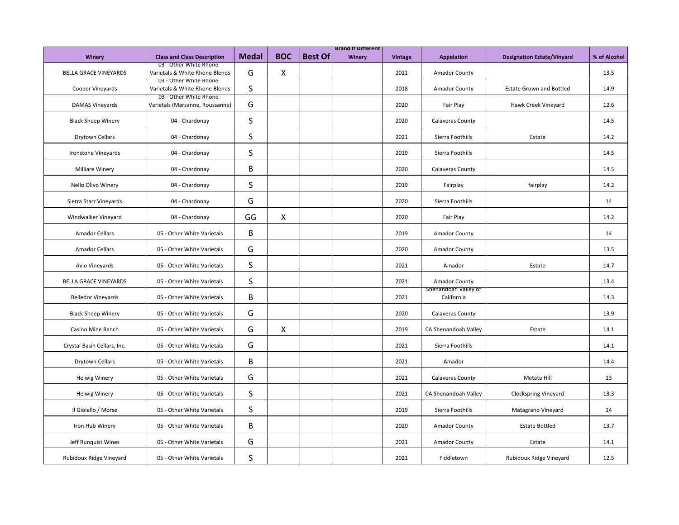|                              |                                                           |              |              |                | <b>Brand It Different</b> |                |                                    |                                   |              |
|------------------------------|-----------------------------------------------------------|--------------|--------------|----------------|---------------------------|----------------|------------------------------------|-----------------------------------|--------------|
| Winery                       | <b>Class and Class Description</b>                        | <b>Medal</b> | <b>BOC</b>   | <b>Best Of</b> | Winery                    | <b>Vintage</b> | <b>Appelation</b>                  | <b>Designation Estate/Vinyard</b> | % of Alcohol |
| <b>BELLA GRACE VINEYARDS</b> | 03 - Other White Rhone<br>Varietals & White Rhone Blends  | G            | $\mathsf{X}$ |                |                           | 2021           | Amador County                      |                                   | 13.5         |
| Cooper Vineyards             | 03 - Other White Rhone<br>Varietals & White Rhone Blends  | S            |              |                |                           | 2018           | Amador County                      | <b>Estate Grown and Bottled</b>   | 14.9         |
| DAMAS Vineyards              | 03 - Other White Rhone<br>Varietals (Marsanne, Roussanne) | G            |              |                |                           | 2020           | Fair Play                          | Hawk Creek Vineyard               | 12.6         |
| <b>Black Sheep Winery</b>    | 04 - Chardonay                                            | S            |              |                |                           | 2020           | Calaveras County                   |                                   | 14.5         |
| Drytown Cellars              | 04 - Chardonay                                            | S            |              |                |                           | 2021           | Sierra Foothills                   | Estate                            | 14.2         |
| Ironstone Vineyards          | 04 - Chardonay                                            | S            |              |                |                           | 2019           | Sierra Foothills                   |                                   | 14.5         |
| Milliare Winery              | 04 - Chardonay                                            | B            |              |                |                           | 2020           | Calaveras County                   |                                   | 14.5         |
| Nello Olivo Winery           | 04 - Chardonay                                            | S            |              |                |                           | 2019           | Fairplay                           | fairplay                          | 14.2         |
| Sierra Starr Vineyards       | 04 - Chardonay                                            | G            |              |                |                           | 2020           | Sierra Foothills                   |                                   | 14           |
| Windwalker Vineyard          | 04 - Chardonay                                            | GG           | $\mathsf{X}$ |                |                           | 2020           | Fair Play                          |                                   | 14.2         |
| <b>Amador Cellars</b>        | 05 - Other White Varietals                                | В            |              |                |                           | 2019           | Amador County                      |                                   | 14           |
| <b>Amador Cellars</b>        | 05 - Other White Varietals                                | G            |              |                |                           | 2020           | Amador County                      |                                   | 13.5         |
| Avio Vineyards               | 05 - Other White Varietals                                | S            |              |                |                           | 2021           | Amador                             | Estate                            | 14.7         |
| <b>BELLA GRACE VINEYARDS</b> | 05 - Other White Varietals                                | S            |              |                |                           | 2021           | Amador County                      |                                   | 13.4         |
| <b>Belledor Vineyards</b>    | 05 - Other White Varietals                                | B            |              |                |                           | 2021           | Shenandoah Valley of<br>California |                                   | 14.3         |
| <b>Black Sheep Winery</b>    | 05 - Other White Varietals                                | G            |              |                |                           | 2020           | Calaveras County                   |                                   | 13.9         |
| Casino Mine Ranch            | 05 - Other White Varietals                                | G            | X            |                |                           | 2019           | CA Shenandoah Valley               | Estate                            | 14.1         |
| Crystal Basin Cellars, Inc.  | 05 - Other White Varietals                                | G            |              |                |                           | 2021           | Sierra Foothills                   |                                   | 14.1         |
| Drytown Cellars              | 05 - Other White Varietals                                | B            |              |                |                           | 2021           | Amador                             |                                   | 14.4         |
| <b>Helwig Winery</b>         | 05 - Other White Varietals                                | G            |              |                |                           | 2021           | Calaveras County                   | Metate Hill                       | 13           |
| <b>Helwig Winery</b>         | 05 - Other White Varietals                                | S            |              |                |                           | 2021           | CA Shenandoah Valley               | <b>Clockspring Vineyard</b>       | 13.3         |
| Il Gioiello / Morse          | 05 - Other White Varietals                                | S            |              |                |                           | 2019           | Sierra Foothills                   | Matagrano Vineyard                | 14           |
| Iron Hub Winery              | 05 - Other White Varietals                                | В            |              |                |                           | 2020           | <b>Amador County</b>               | <b>Estate Bottled</b>             | 13.7         |
| Jeff Runquist Wines          | 05 - Other White Varietals                                | G            |              |                |                           | 2021           | <b>Amador County</b>               | Estate                            | 14.1         |
| Rubidoux Ridge Vineyard      | 05 - Other White Varietals                                | S            |              |                |                           | 2021           | Fiddletown                         | Rubidoux Ridge Vineyard           | 12.5         |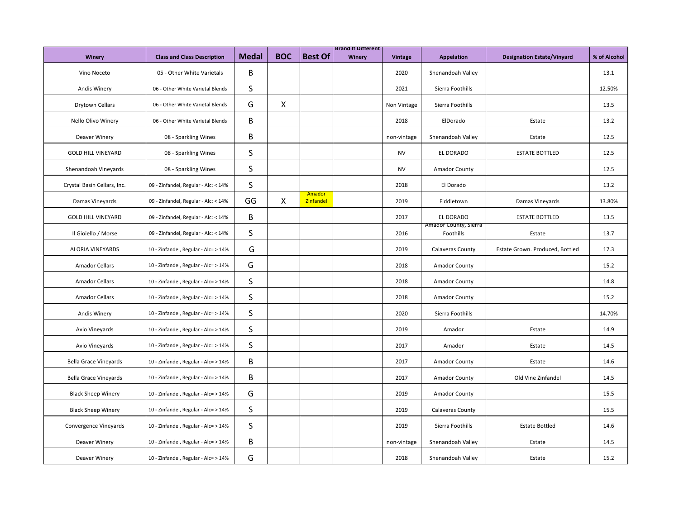| Winery                       | <b>Class and Class Description</b>   | <b>Medal</b> | <b>BOC</b>   | <b>Best Of</b>      | <b>Brand It Different</b><br>Winery | <b>Vintage</b> | <b>Appelation</b>                  | <b>Designation Estate/Vinyard</b> | % of Alcohol |
|------------------------------|--------------------------------------|--------------|--------------|---------------------|-------------------------------------|----------------|------------------------------------|-----------------------------------|--------------|
|                              |                                      |              |              |                     |                                     |                |                                    |                                   |              |
| Vino Noceto                  | 05 - Other White Varietals           | B            |              |                     |                                     | 2020           | Shenandoah Valley                  |                                   | 13.1         |
| <b>Andis Winery</b>          | 06 - Other White Varietal Blends     | S            |              |                     |                                     | 2021           | Sierra Foothills                   |                                   | 12.50%       |
| <b>Drytown Cellars</b>       | 06 - Other White Varietal Blends     | G            | $\mathsf{X}$ |                     |                                     | Non Vintage    | Sierra Foothills                   |                                   | 13.5         |
| Nello Olivo Winery           | 06 - Other White Varietal Blends     | B            |              |                     |                                     | 2018           | ElDorado                           | Estate                            | 13.2         |
| Deaver Winery                | 08 - Sparkling Wines                 | В            |              |                     |                                     | non-vintage    | Shenandoah Valley                  | Estate                            | 12.5         |
| <b>GOLD HILL VINEYARD</b>    | 08 - Sparkling Wines                 | S            |              |                     |                                     | <b>NV</b>      | EL DORADO                          | <b>ESTATE BOTTLED</b>             | 12.5         |
| Shenandoah Vineyards         | 08 - Sparkling Wines                 | S            |              |                     |                                     | <b>NV</b>      | <b>Amador County</b>               |                                   | 12.5         |
| Crystal Basin Cellars, Inc.  | 09 - Zinfandel, Regular - Alc: < 14% | S            |              |                     |                                     | 2018           | El Dorado                          |                                   | 13.2         |
| Damas Vineyards              | 09 - Zinfandel, Regular - Alc: < 14% | GG           | X            | Amador<br>Zinfandel |                                     | 2019           | Fiddletown                         | Damas Vineyards                   | 13.80%       |
| <b>GOLD HILL VINEYARD</b>    | 09 - Zinfandel, Regular - Alc: < 14% | B            |              |                     |                                     | 2017           | EL DORADO                          | <b>ESTATE BOTTLED</b>             | 13.5         |
| Il Gioiello / Morse          | 09 - Zinfandel, Regular - Alc: < 14% | S            |              |                     |                                     | 2016           | Amador County, Sierra<br>Foothills | Estate                            | 13.7         |
| <b>ALORIA VINEYARDS</b>      | 10 - Zinfandel, Regular - Alc= > 14% | G            |              |                     |                                     | 2019           | Calaveras County                   | Estate Grown. Produced, Bottled   | 17.3         |
| <b>Amador Cellars</b>        | 10 - Zinfandel, Regular - Alc= > 14% | G            |              |                     |                                     | 2018           | Amador County                      |                                   | 15.2         |
| <b>Amador Cellars</b>        | 10 - Zinfandel, Regular - Alc= > 14% | S            |              |                     |                                     | 2018           | Amador County                      |                                   | 14.8         |
| <b>Amador Cellars</b>        | 10 - Zinfandel, Regular - Alc= > 14% | S            |              |                     |                                     | 2018           | <b>Amador County</b>               |                                   | 15.2         |
| <b>Andis Winery</b>          | 10 - Zinfandel, Regular - Alc= > 14% | S            |              |                     |                                     | 2020           | Sierra Foothills                   |                                   | 14.70%       |
| Avio Vineyards               | 10 - Zinfandel, Regular - Alc= > 14% | S            |              |                     |                                     | 2019           | Amador                             | Estate                            | 14.9         |
| Avio Vineyards               | 10 - Zinfandel, Regular - Alc= > 14% | S            |              |                     |                                     | 2017           | Amador                             | Estate                            | 14.5         |
| <b>Bella Grace Vineyards</b> | 10 - Zinfandel, Regular - Alc= > 14% | B            |              |                     |                                     | 2017           | <b>Amador County</b>               | Estate                            | 14.6         |
| <b>Bella Grace Vineyards</b> | 10 - Zinfandel, Regular - Alc= > 14% | B            |              |                     |                                     | 2017           | Amador County                      | Old Vine Zinfandel                | 14.5         |
| <b>Black Sheep Winery</b>    | 10 - Zinfandel, Regular - Alc= > 14% | G            |              |                     |                                     | 2019           | <b>Amador County</b>               |                                   | 15.5         |
| <b>Black Sheep Winery</b>    | 10 - Zinfandel, Regular - Alc= > 14% | S            |              |                     |                                     | 2019           | Calaveras County                   |                                   | 15.5         |
| Convergence Vineyards        | 10 - Zinfandel, Regular - Alc= > 14% | S            |              |                     |                                     | 2019           | Sierra Foothills                   | <b>Estate Bottled</b>             | 14.6         |
| Deaver Winery                | 10 - Zinfandel, Regular - Alc= > 14% | B            |              |                     |                                     | non-vintage    | Shenandoah Valley                  | Estate                            | 14.5         |
| Deaver Winery                | 10 - Zinfandel, Regular - Alc= > 14% | G            |              |                     |                                     | 2018           | Shenandoah Valley                  | Estate                            | 15.2         |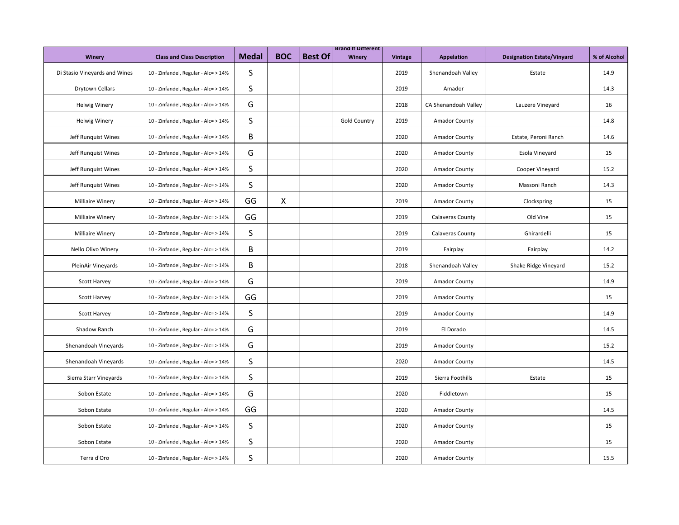| <b>Winery</b>                 | <b>Class and Class Description</b>   | <b>Medal</b> | <b>BOC</b>                | <b>Best Of</b> | <b>Brand It Different</b><br>Winery | Vintage | Appelation              | <b>Designation Estate/Vinyard</b> | % of Alcohol |
|-------------------------------|--------------------------------------|--------------|---------------------------|----------------|-------------------------------------|---------|-------------------------|-----------------------------------|--------------|
| Di Stasio Vineyards and Wines | 10 - Zinfandel, Regular - Alc= > 14% | S            |                           |                |                                     | 2019    | Shenandoah Valley       | Estate                            | 14.9         |
| Drytown Cellars               | 10 - Zinfandel, Regular - Alc= > 14% | S            |                           |                |                                     | 2019    | Amador                  |                                   | 14.3         |
| <b>Helwig Winery</b>          | 10 - Zinfandel, Regular - Alc= > 14% | G            |                           |                |                                     | 2018    | CA Shenandoah Valley    | Lauzere Vineyard                  | 16           |
| <b>Helwig Winery</b>          | 10 - Zinfandel, Regular - Alc= > 14% | S            |                           |                | <b>Gold Country</b>                 | 2019    | Amador County           |                                   | 14.8         |
| Jeff Runquist Wines           | 10 - Zinfandel, Regular - Alc= > 14% | В            |                           |                |                                     | 2020    | Amador County           | Estate, Peroni Ranch              | 14.6         |
| Jeff Runquist Wines           | 10 - Zinfandel, Regular - Alc= > 14% | G            |                           |                |                                     | 2020    | Amador County           | Esola Vineyard                    | 15           |
| Jeff Runguist Wines           | 10 - Zinfandel, Regular - Alc= > 14% | S            |                           |                |                                     | 2020    | <b>Amador County</b>    | Cooper Vineyard                   | 15.2         |
| Jeff Runquist Wines           | 10 - Zinfandel, Regular - Alc= > 14% | S            |                           |                |                                     | 2020    | Amador County           | Massoni Ranch                     | 14.3         |
| <b>Milliaire Winery</b>       | 10 - Zinfandel, Regular - Alc= > 14% | GG           | $\boldsymbol{\mathsf{X}}$ |                |                                     | 2019    | Amador County           | Clockspring                       | 15           |
| <b>Milliaire Winery</b>       | 10 - Zinfandel, Regular - Alc= > 14% | GG           |                           |                |                                     | 2019    | <b>Calaveras County</b> | Old Vine                          | 15           |
| Milliaire Winery              | 10 - Zinfandel, Regular - Alc= > 14% | S            |                           |                |                                     | 2019    | <b>Calaveras County</b> | Ghirardelli                       | 15           |
| Nello Olivo Winery            | 10 - Zinfandel, Regular - Alc= > 14% | В            |                           |                |                                     | 2019    | Fairplay                | Fairplay                          | 14.2         |
| PleinAir Vineyards            | 10 - Zinfandel, Regular - Alc= > 14% | B            |                           |                |                                     | 2018    | Shenandoah Valley       | Shake Ridge Vineyard              | 15.2         |
| <b>Scott Harvey</b>           | 10 - Zinfandel, Regular - Alc= > 14% | G            |                           |                |                                     | 2019    | Amador County           |                                   | 14.9         |
| Scott Harvey                  | 10 - Zinfandel, Regular - Alc= > 14% | GG           |                           |                |                                     | 2019    | Amador County           |                                   | 15           |
| <b>Scott Harvey</b>           | 10 - Zinfandel, Regular - Alc= > 14% | S            |                           |                |                                     | 2019    | <b>Amador County</b>    |                                   | 14.9         |
| Shadow Ranch                  | 10 - Zinfandel, Regular - Alc= > 14% | G            |                           |                |                                     | 2019    | El Dorado               |                                   | 14.5         |
| Shenandoah Vineyards          | 10 - Zinfandel, Regular - Alc= > 14% | G            |                           |                |                                     | 2019    | Amador County           |                                   | 15.2         |
| Shenandoah Vineyards          | 10 - Zinfandel, Regular - Alc= > 14% | S            |                           |                |                                     | 2020    | Amador County           |                                   | 14.5         |
| Sierra Starr Vineyards        | 10 - Zinfandel, Regular - Alc= > 14% | S            |                           |                |                                     | 2019    | Sierra Foothills        | Estate                            | 15           |
| Sobon Estate                  | 10 - Zinfandel, Regular - Alc= > 14% | G            |                           |                |                                     | 2020    | Fiddletown              |                                   | 15           |
| Sobon Estate                  | 10 - Zinfandel, Regular - Alc= > 14% | GG           |                           |                |                                     | 2020    | <b>Amador County</b>    |                                   | 14.5         |
| Sobon Estate                  | 10 - Zinfandel, Regular - Alc= > 14% | S            |                           |                |                                     | 2020    | <b>Amador County</b>    |                                   | 15           |
| Sobon Estate                  | 10 - Zinfandel, Regular - Alc= > 14% | S            |                           |                |                                     | 2020    | Amador County           |                                   | 15           |
| Terra d'Oro                   | 10 - Zinfandel, Regular - Alc= > 14% | S            |                           |                |                                     | 2020    | Amador County           |                                   | 15.5         |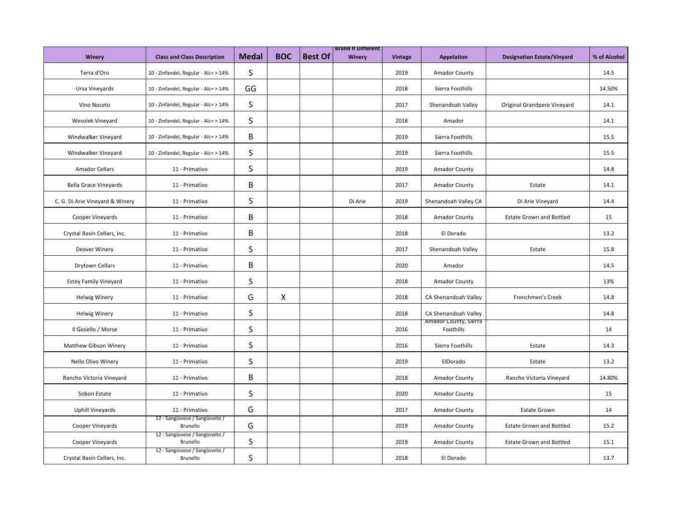| Winery                          | <b>Class and Class Description</b>         | <b>Medal</b> | <b>BOC</b>   | <b>Best Of</b> | <b>Brand It Different</b><br>Winery | Vintage | Appelation                         | <b>Designation Estate/Vinyard</b> | % of Alcohol |
|---------------------------------|--------------------------------------------|--------------|--------------|----------------|-------------------------------------|---------|------------------------------------|-----------------------------------|--------------|
| Terra d'Oro                     | 10 - Zinfandel, Regular - Alc= > 14%       | S            |              |                |                                     | 2019    | Amador County                      |                                   | 14.5         |
| Ursa Vineyards                  | 10 - Zinfandel, Regular - Alc= > 14%       | GG           |              |                |                                     | 2018    | Sierra Foothills                   |                                   | 14.50%       |
| Vino Noceto                     | 10 - Zinfandel, Regular - Alc= > 14%       | S            |              |                |                                     | 2017    | Shenandoah Valley                  | Original Grandpere Vineyard       | 14.1         |
| Wesolek Vineyard                | 10 - Zinfandel, Regular - Alc= > 14%       | $\sf S$      |              |                |                                     | 2018    | Amador                             |                                   | 14.1         |
| Windwalker Vineyard             | 10 - Zinfandel, Regular - Alc= > 14%       | B            |              |                |                                     | 2019    | Sierra Foothills                   |                                   | 15.5         |
| Windwalker Vineyard             | 10 - Zinfandel, Regular - Alc= > 14%       | $\sf S$      |              |                |                                     | 2019    | Sierra Foothills                   |                                   | 15.5         |
| <b>Amador Cellars</b>           | 11 - Primativo                             | S            |              |                |                                     | 2019    | <b>Amador County</b>               |                                   | 14.8         |
| <b>Bella Grace Vineyards</b>    | 11 - Primativo                             | B            |              |                |                                     | 2017    | <b>Amador County</b>               | Estate                            | 14.1         |
| C. G. Di Arie Vineyard & Winery | 11 - Primativo                             | S            |              |                | Di Arie                             | 2019    | Shenandoah Valley CA               | Di Arie Vineyard                  | 14.4         |
| Cooper Vineyards                | 11 - Primativo                             | B            |              |                |                                     | 2018    | Amador County                      | <b>Estate Grown and Bottled</b>   | 15           |
| Crystal Basin Cellars, Inc.     | 11 - Primativo                             | В            |              |                |                                     | 2018    | El Dorado                          |                                   | 13.2         |
| Deaver Winery                   | 11 - Primativo                             | S            |              |                |                                     | 2017    | Shenandoah Valley                  | Estate                            | 15.8         |
| Drytown Cellars                 | 11 - Primativo                             | B            |              |                |                                     | 2020    | Amador                             |                                   | 14.5         |
| <b>Estey Family Vineyard</b>    | 11 - Primativo                             | S            |              |                |                                     | 2018    | <b>Amador County</b>               |                                   | 13%          |
| <b>Helwig Winery</b>            | 11 - Primativo                             | G            | $\mathsf{X}$ |                |                                     | 2018    | CA Shenandoah Valley               | Frenchmen's Creek                 | 14.8         |
| <b>Helwig Winery</b>            | 11 - Primativo                             | S            |              |                |                                     | 2018    | CA Shenandoah Valley               |                                   | 14.8         |
| Il Gioiello / Morse             | 11 - Primativo                             | S            |              |                |                                     | 2016    | Amador County, Sierra<br>Foothills |                                   | 14           |
| Matthew Gibson Winery           | 11 - Primativo                             | S            |              |                |                                     | 2016    | Sierra Foothills                   | Estate                            | 14.3         |
| Nello Olivo Winery              | 11 - Primativo                             | S            |              |                |                                     | 2019    | ElDorado                           | Estate                            | 13.2         |
| Rancho Victoria Vineyard        | 11 - Primativo                             | B            |              |                |                                     | 2018    | <b>Amador County</b>               | Rancho Victoria Vineyard          | 14.80%       |
| Sobon Estate                    | 11 - Primativo                             | S            |              |                |                                     | 2020    | <b>Amador County</b>               |                                   | 15           |
| <b>Uphill Vineyards</b>         | 11 - Primativo                             | G            |              |                |                                     | 2017    | <b>Amador County</b>               | <b>Estate Grown</b>               | 14           |
| Cooper Vineyards                | 12 - Sangiovese / Sangioveto /<br>Brunello | G            |              |                |                                     | 2019    | <b>Amador County</b>               | <b>Estate Grown and Bottled</b>   | 15.2         |
| Cooper Vineyards                | 12 - Sangiovese / Sangioveto /<br>Brunello | S            |              |                |                                     | 2019    | <b>Amador County</b>               | <b>Estate Grown and Bottled</b>   | 15.1         |
| Crystal Basin Cellars, Inc.     | 12 - Sangiovese / Sangioveto /<br>Brunello | S            |              |                |                                     | 2018    | El Dorado                          |                                   | 13.7         |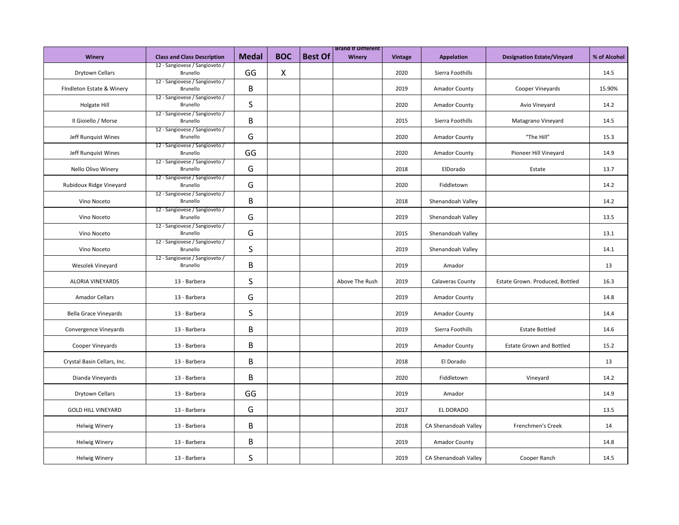|                             |                                            |              |              |                | <b>Brand It Different</b> |                |                      |                                   |              |
|-----------------------------|--------------------------------------------|--------------|--------------|----------------|---------------------------|----------------|----------------------|-----------------------------------|--------------|
| Winery                      | <b>Class and Class Description</b>         | <b>Medal</b> | <b>BOC</b>   | <b>Best Of</b> | Winery                    | <b>Vintage</b> | <b>Appelation</b>    | <b>Designation Estate/Vinyard</b> | % of Alcohol |
| <b>Drytown Cellars</b>      | 12 - Sangiovese / Sangioveto /<br>Brunello | GG           | $\mathsf{X}$ |                |                           | 2020           | Sierra Foothills     |                                   | 14.5         |
| FIndleton Estate & Winery   | 12 - Sangiovese / Sangioveto /<br>Brunello | B            |              |                |                           | 2019           | Amador County        | Cooper Vineyards                  | 15.90%       |
| Holgate Hill                | 12 - Sangiovese / Sangioveto /<br>Brunello | S            |              |                |                           | 2020           | <b>Amador County</b> | Avio Vineyard                     | 14.2         |
| Il Gioiello / Morse         | 12 - Sangiovese / Sangioveto /<br>Brunello | B            |              |                |                           | 2015           | Sierra Foothills     | Matagrano Vineyard                | 14.5         |
| Jeff Runquist Wines         | 12 - Sangiovese / Sangioveto /<br>Brunello | G            |              |                |                           | 2020           | Amador County        | "The Hill"                        | 15.3         |
| Jeff Runquist Wines         | 12 - Sangiovese / Sangioveto /<br>Brunello | GG           |              |                |                           | 2020           | Amador County        | Pioneer Hill Vineyard             | 14.9         |
| Nello Olivo Winery          | 12 - Sangiovese / Sangioveto /<br>Brunello | G            |              |                |                           | 2018           | ElDorado             | Estate                            | 13.7         |
| Rubidoux Ridge Vineyard     | 12 - Sangiovese / Sangioveto /<br>Brunello | G            |              |                |                           | 2020           | Fiddletown           |                                   | 14.2         |
| Vino Noceto                 | 12 - Sangiovese / Sangioveto /<br>Brunello | B            |              |                |                           | 2018           | Shenandoah Valley    |                                   | 14.2         |
| Vino Noceto                 | 12 - Sangiovese / Sangioveto /<br>Brunello | G            |              |                |                           | 2019           | Shenandoah Valley    |                                   | 13.5         |
| Vino Noceto                 | 12 - Sangiovese / Sangioveto /<br>Brunello | G            |              |                |                           | 2015           | Shenandoah Valley    |                                   | 13.1         |
| Vino Noceto                 | 12 - Sangiovese / Sangioveto /<br>Brunello | S            |              |                |                           | 2019           | Shenandoah Valley    |                                   | 14.1         |
| Wesolek Vineyard            | 12 - Sangiovese / Sangioveto /<br>Brunello | В            |              |                |                           | 2019           | Amador               |                                   | 13           |
| <b>ALORIA VINEYARDS</b>     | 13 - Barbera                               | S            |              |                | Above The Rush            | 2019           | Calaveras County     | Estate Grown. Produced, Bottled   | 16.3         |
| <b>Amador Cellars</b>       | 13 - Barbera                               | G            |              |                |                           | 2019           | <b>Amador County</b> |                                   | 14.8         |
| Bella Grace Vineyards       | 13 - Barbera                               | S            |              |                |                           | 2019           | <b>Amador County</b> |                                   | 14.4         |
| Convergence Vineyards       | 13 - Barbera                               | B            |              |                |                           | 2019           | Sierra Foothills     | <b>Estate Bottled</b>             | 14.6         |
| Cooper Vineyards            | 13 - Barbera                               | В            |              |                |                           | 2019           | Amador County        | <b>Estate Grown and Bottled</b>   | 15.2         |
| Crystal Basin Cellars, Inc. | 13 - Barbera                               | B            |              |                |                           | 2018           | El Dorado            |                                   | 13           |
| Dianda Vineyards            | 13 - Barbera                               | B            |              |                |                           | 2020           | Fiddletown           | Vineyard                          | 14.2         |
| Drytown Cellars             | 13 - Barbera                               | GG           |              |                |                           | 2019           | Amador               |                                   | 14.9         |
| <b>GOLD HILL VINEYARD</b>   | 13 - Barbera                               | G            |              |                |                           | 2017           | EL DORADO            |                                   | 13.5         |
| <b>Helwig Winery</b>        | 13 - Barbera                               | В            |              |                |                           | 2018           | CA Shenandoah Valley | Frenchmen's Creek                 | 14           |
| <b>Helwig Winery</b>        | 13 - Barbera                               | В            |              |                |                           | 2019           | Amador County        |                                   | 14.8         |
| <b>Helwig Winery</b>        | 13 - Barbera                               | S            |              |                |                           | 2019           | CA Shenandoah Valley | Cooper Ranch                      | 14.5         |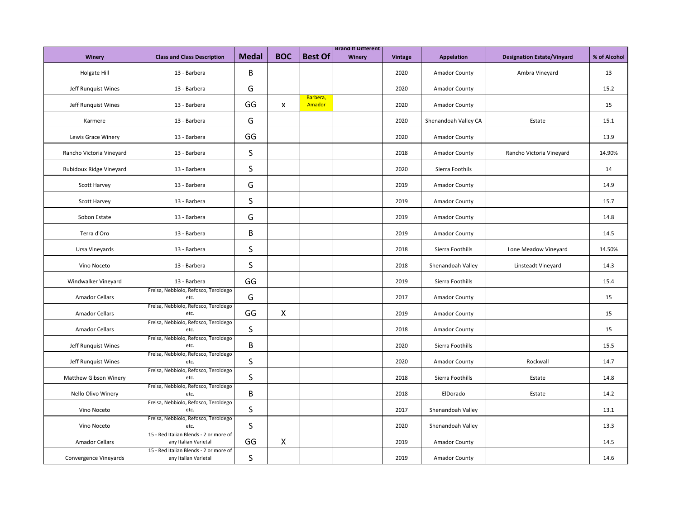|                          |                                                                |              |              |                    | <b>Brand It Different</b> |                |                      |                                   |              |
|--------------------------|----------------------------------------------------------------|--------------|--------------|--------------------|---------------------------|----------------|----------------------|-----------------------------------|--------------|
| <b>Winery</b>            | <b>Class and Class Description</b>                             | <b>Medal</b> | <b>BOC</b>   | <b>Best Of</b>     | Winery                    | <b>Vintage</b> | <b>Appelation</b>    | <b>Designation Estate/Vinyard</b> | % of Alcohol |
| Holgate Hill             | 13 - Barbera                                                   | B            |              |                    |                           | 2020           | Amador County        | Ambra Vineyard                    | 13           |
| Jeff Runquist Wines      | 13 - Barbera                                                   | G            |              |                    |                           | 2020           | <b>Amador County</b> |                                   | 15.2         |
| Jeff Runquist Wines      | 13 - Barbera                                                   | GG           | X            | Barbera,<br>Amador |                           | 2020           | <b>Amador County</b> |                                   | 15           |
| Karmere                  | 13 - Barbera                                                   | G            |              |                    |                           | 2020           | Shenandoah Valley CA | Estate                            | 15.1         |
| Lewis Grace Winery       | 13 - Barbera                                                   | GG           |              |                    |                           | 2020           | Amador County        |                                   | 13.9         |
| Rancho Victoria Vineyard | 13 - Barbera                                                   | S            |              |                    |                           | 2018           | <b>Amador County</b> | Rancho Victoria Vineyard          | 14.90%       |
| Rubidoux Ridge Vineyard  | 13 - Barbera                                                   | S            |              |                    |                           | 2020           | Sierra Foothils      |                                   | 14           |
| <b>Scott Harvey</b>      | 13 - Barbera                                                   | G            |              |                    |                           | 2019           | <b>Amador County</b> |                                   | 14.9         |
| <b>Scott Harvey</b>      | 13 - Barbera                                                   | S            |              |                    |                           | 2019           | <b>Amador County</b> |                                   | 15.7         |
| Sobon Estate             | 13 - Barbera                                                   | G            |              |                    |                           | 2019           | Amador County        |                                   | 14.8         |
| Terra d'Oro              | 13 - Barbera                                                   | B            |              |                    |                           | 2019           | Amador County        |                                   | 14.5         |
| Ursa Vineyards           | 13 - Barbera                                                   | S            |              |                    |                           | 2018           | Sierra Foothills     | Lone Meadow Vineyard              | 14.50%       |
| Vino Noceto              | 13 - Barbera                                                   | $\sf S$      |              |                    |                           | 2018           | Shenandoah Valley    | Linsteadt Vineyard                | 14.3         |
| Windwalker Vineyard      | 13 - Barbera                                                   | GG           |              |                    |                           | 2019           | Sierra Foothills     |                                   | 15.4         |
| <b>Amador Cellars</b>    | Freisa, Nebbiolo, Refosco, Teroldego<br>etc.                   | G            |              |                    |                           | 2017           | <b>Amador County</b> |                                   | 15           |
| <b>Amador Cellars</b>    | Freisa, Nebbiolo, Refosco, Teroldego<br>etc.                   | GG           | X            |                    |                           | 2019           | Amador County        |                                   | 15           |
| <b>Amador Cellars</b>    | Freisa, Nebbiolo, Refosco, Teroldego<br>etc.                   | S            |              |                    |                           | 2018           | Amador County        |                                   | 15           |
| Jeff Runquist Wines      | Freisa, Nebbiolo, Refosco, Teroldego<br>etc.                   | B            |              |                    |                           | 2020           | Sierra Foothills     |                                   | 15.5         |
| Jeff Runquist Wines      | Freisa, Nebbiolo, Refosco, Teroldego<br>etc.                   | S            |              |                    |                           | 2020           | Amador County        | Rockwall                          | 14.7         |
| Matthew Gibson Winery    | Freisa, Nebbiolo, Refosco, Teroldego<br>etc.                   | S            |              |                    |                           | 2018           | Sierra Foothills     | Estate                            | 14.8         |
| Nello Olivo Winery       | Freisa, Nebbiolo, Refosco, Teroldego<br>etc.                   | В            |              |                    |                           | 2018           | ElDorado             | Estate                            | 14.2         |
| Vino Noceto              | Freisa, Nebbiolo, Refosco, Teroldego<br>etc.                   | S            |              |                    |                           | 2017           | Shenandoah Valley    |                                   | 13.1         |
| Vino Noceto              | Freisa, Nebbiolo, Refosco, Teroldego<br>etc.                   | S            |              |                    |                           | 2020           | Shenandoah Valley    |                                   | 13.3         |
| <b>Amador Cellars</b>    | 15 - Red Italian Blends - 2 or more of<br>any Italian Varietal | GG           | $\mathsf{X}$ |                    |                           | 2019           | <b>Amador County</b> |                                   | 14.5         |
| Convergence Vineyards    | 15 - Red Italian Blends - 2 or more of<br>any Italian Varietal | S            |              |                    |                           | 2019           | <b>Amador County</b> |                                   | 14.6         |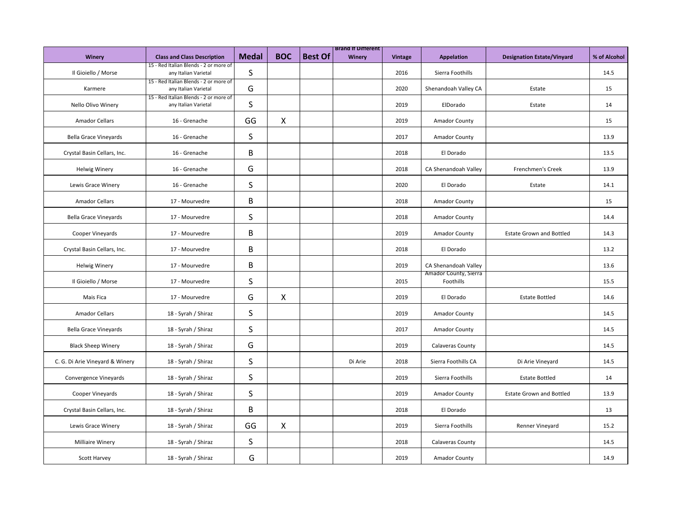|                                 |                                                                |              |                           |                | <b>Brand It Different</b> |                |                                    |                                   |              |
|---------------------------------|----------------------------------------------------------------|--------------|---------------------------|----------------|---------------------------|----------------|------------------------------------|-----------------------------------|--------------|
| <b>Winery</b>                   | <b>Class and Class Description</b>                             | <b>Medal</b> | <b>BOC</b>                | <b>Best Of</b> | Winery                    | <b>Vintage</b> | Appelation                         | <b>Designation Estate/Vinyard</b> | % of Alcohol |
| Il Gioiello / Morse             | 15 - Red Italian Blends - 2 or more of<br>any Italian Varietal | S            |                           |                |                           | 2016           | Sierra Foothills                   |                                   | 14.5         |
| Karmere                         | 15 - Red Italian Blends - 2 or more of<br>any Italian Varietal | G            |                           |                |                           | 2020           | Shenandoah Valley CA               | Estate                            | 15           |
| Nello Olivo Winery              | 15 - Red Italian Blends - 2 or more of<br>any Italian Varietal | S            |                           |                |                           | 2019           | ElDorado                           | Estate                            | 14           |
| <b>Amador Cellars</b>           | 16 - Grenache                                                  | GG           | Χ                         |                |                           | 2019           | Amador County                      |                                   | 15           |
| <b>Bella Grace Vineyards</b>    | 16 - Grenache                                                  | S            |                           |                |                           | 2017           | Amador County                      |                                   | 13.9         |
| Crystal Basin Cellars, Inc.     | 16 - Grenache                                                  | B            |                           |                |                           | 2018           | El Dorado                          |                                   | 13.5         |
| <b>Helwig Winery</b>            | 16 - Grenache                                                  | G            |                           |                |                           | 2018           | CA Shenandoah Valley               | Frenchmen's Creek                 | 13.9         |
| Lewis Grace Winery              | 16 - Grenache                                                  | S            |                           |                |                           | 2020           | El Dorado                          | Estate                            | 14.1         |
| <b>Amador Cellars</b>           | 17 - Mourvedre                                                 | B            |                           |                |                           | 2018           | <b>Amador County</b>               |                                   | 15           |
| <b>Bella Grace Vineyards</b>    | 17 - Mourvedre                                                 | S            |                           |                |                           | 2018           | <b>Amador County</b>               |                                   | 14.4         |
| Cooper Vineyards                | 17 - Mourvedre                                                 | В            |                           |                |                           | 2019           | Amador County                      | <b>Estate Grown and Bottled</b>   | 14.3         |
| Crystal Basin Cellars, Inc.     | 17 - Mourvedre                                                 | В            |                           |                |                           | 2018           | El Dorado                          |                                   | 13.2         |
| <b>Helwig Winery</b>            | 17 - Mourvedre                                                 | B            |                           |                |                           | 2019           | CA Shenandoah Valley               |                                   | 13.6         |
| Il Gioiello / Morse             | 17 - Mourvedre                                                 | S            |                           |                |                           | 2015           | Amador County, Sierra<br>Foothills |                                   | 15.5         |
| Mais Fica                       | 17 - Mourvedre                                                 | G            | $\boldsymbol{\mathsf{X}}$ |                |                           | 2019           | El Dorado                          | <b>Estate Bottled</b>             | 14.6         |
| <b>Amador Cellars</b>           | 18 - Syrah / Shiraz                                            | S            |                           |                |                           | 2019           | <b>Amador County</b>               |                                   | 14.5         |
| <b>Bella Grace Vineyards</b>    | 18 - Syrah / Shiraz                                            | S            |                           |                |                           | 2017           | <b>Amador County</b>               |                                   | 14.5         |
| <b>Black Sheep Winery</b>       | 18 - Syrah / Shiraz                                            | G            |                           |                |                           | 2019           | Calaveras County                   |                                   | 14.5         |
| C. G. Di Arie Vineyard & Winery | 18 - Syrah / Shiraz                                            | S            |                           |                | Di Arie                   | 2018           | Sierra Foothills CA                | Di Arie Vineyard                  | 14.5         |
| Convergence Vineyards           | 18 - Syrah / Shiraz                                            | S            |                           |                |                           | 2019           | Sierra Foothills                   | <b>Estate Bottled</b>             | 14           |
| Cooper Vineyards                | 18 - Syrah / Shiraz                                            | S            |                           |                |                           | 2019           | <b>Amador County</b>               | <b>Estate Grown and Bottled</b>   | 13.9         |
| Crystal Basin Cellars, Inc.     | 18 - Syrah / Shiraz                                            | B            |                           |                |                           | 2018           | El Dorado                          |                                   | 13           |
| Lewis Grace Winery              | 18 - Syrah / Shiraz                                            | GG           | $\boldsymbol{\mathsf{X}}$ |                |                           | 2019           | Sierra Foothills                   | Renner Vineyard                   | 15.2         |
| <b>Milliaire Winery</b>         | 18 - Syrah / Shiraz                                            | S            |                           |                |                           | 2018           | <b>Calaveras County</b>            |                                   | 14.5         |
| <b>Scott Harvey</b>             | 18 - Syrah / Shiraz                                            | G            |                           |                |                           | 2019           | <b>Amador County</b>               |                                   | 14.9         |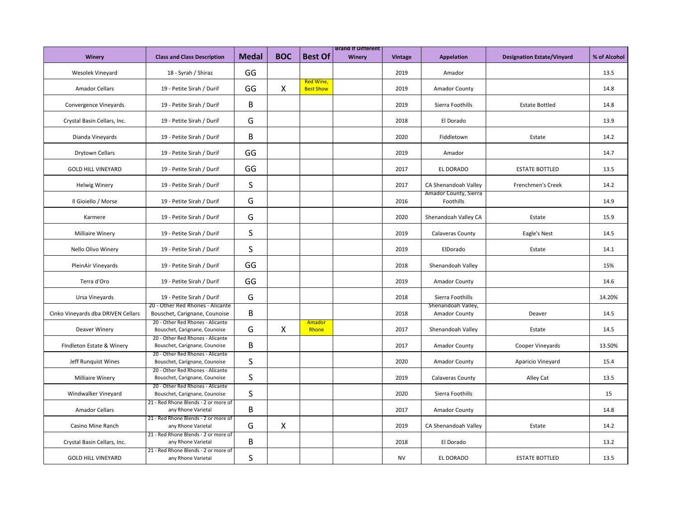|                                    |                                                                   |       |              |                               | <b>Brand It Different</b> |                |                                            |                                   |              |
|------------------------------------|-------------------------------------------------------------------|-------|--------------|-------------------------------|---------------------------|----------------|--------------------------------------------|-----------------------------------|--------------|
| Winery                             | <b>Class and Class Description</b>                                | Medal | <b>BOC</b>   | <b>Best Of</b>                | Winery                    | <b>Vintage</b> | <b>Appelation</b>                          | <b>Designation Estate/Vinyard</b> | % of Alcohol |
| Wesolek Vineyard                   | 18 - Syrah / Shiraz                                               | GG    |              |                               |                           | 2019           | Amador                                     |                                   | 13.5         |
| <b>Amador Cellars</b>              | 19 - Petite Sirah / Durif                                         | GG    | $\mathsf{X}$ | Red Wine,<br><b>Best Show</b> |                           | 2019           | Amador County                              |                                   | 14.8         |
| Convergence Vineyards              | 19 - Petite Sirah / Durif                                         | B     |              |                               |                           | 2019           | Sierra Foothills                           | <b>Estate Bottled</b>             | 14.8         |
| Crystal Basin Cellars, Inc.        | 19 - Petite Sirah / Durif                                         | G     |              |                               |                           | 2018           | El Dorado                                  |                                   | 13.9         |
| Dianda Vineyards                   | 19 - Petite Sirah / Durif                                         | B     |              |                               |                           | 2020           | Fiddletown                                 | Estate                            | 14.2         |
| Drytown Cellars                    | 19 - Petite Sirah / Durif                                         | GG    |              |                               |                           | 2019           | Amador                                     |                                   | 14.7         |
| <b>GOLD HILL VINEYARD</b>          | 19 - Petite Sirah / Durif                                         | GG    |              |                               |                           | 2017           | EL DORADO                                  | <b>ESTATE BOTTLED</b>             | 13.5         |
| <b>Helwig Winery</b>               | 19 - Petite Sirah / Durif                                         | S     |              |                               |                           | 2017           | CA Shenandoah Valley                       | Frenchmen's Creek                 | 14.2         |
| Il Gioiello / Morse                | 19 - Petite Sirah / Durif                                         | G     |              |                               |                           | 2016           | Amador County, Sierra<br>Foothills         |                                   | 14.9         |
| Karmere                            | 19 - Petite Sirah / Durif                                         | G     |              |                               |                           | 2020           | Shenandoah Valley CA                       | Estate                            | 15.9         |
| <b>Milliaire Winery</b>            | 19 - Petite Sirah / Durif                                         | S     |              |                               |                           | 2019           | Calaveras County                           | Eagle's Nest                      | 14.5         |
| Nello Olivo Winery                 | 19 - Petite Sirah / Durif                                         | S     |              |                               |                           | 2019           | ElDorado                                   | Estate                            | 14.1         |
| PleinAir Vineyards                 | 19 - Petite Sirah / Durif                                         | GG    |              |                               |                           | 2018           | Shenandoah Valley                          |                                   | 15%          |
| Terra d'Oro                        | 19 - Petite Sirah / Durif                                         | GG    |              |                               |                           | 2019           | Amador County                              |                                   | 14.6         |
| Ursa Vineyards                     | 19 - Petite Sirah / Durif                                         | G     |              |                               |                           | 2018           | Sierra Foothills                           |                                   | 14.20%       |
| Cinko Vineyards dba DRIVEN Cellars | 20 - Other Red Rhones - Alicante<br>Bouschet, Carignane, Counoise | B     |              |                               |                           | 2018           | Shenandoah Valley,<br><b>Amador County</b> | Deaver                            | 14.5         |
| Deaver Winery                      | 20 - Other Red Rhones - Alicante<br>Bouschet, Carignane, Counoise | G     | $\mathsf{X}$ | Amador<br>Rhone               |                           | 2017           | Shenandoah Valley                          | Estate                            | 14.5         |
| FIndleton Estate & Winery          | 20 - Other Red Rhones - Alicante<br>Bouschet, Carignane, Counoise | В     |              |                               |                           | 2017           | Amador County                              | Cooper Vineyards                  | 13.50%       |
| Jeff Runquist Wines                | 20 - Other Red Rhones - Alicante<br>Bouschet, Carignane, Counoise | S     |              |                               |                           | 2020           | Amador County                              | Aparicio Vineyard                 | 15.4         |
| <b>Milliaire Winery</b>            | 20 - Other Red Rhones - Alicante<br>Bouschet, Carignane, Counoise | S     |              |                               |                           | 2019           | Calaveras County                           | Alley Cat                         | 13.5         |
| Windwalker Vineyard                | 20 - Other Red Rhones - Alicante<br>Bouschet, Carignane, Counoise | S     |              |                               |                           | 2020           | Sierra Foothills                           |                                   | 15           |
| <b>Amador Cellars</b>              | 21 - Red Rhone Blends - 2 or more of<br>any Rhone Varietal        | В     |              |                               |                           | 2017           | <b>Amador County</b>                       |                                   | 14.8         |
| Casino Mine Ranch                  | 21 - Red Rhone Blends - 2 or more of<br>any Rhone Varietal        | G     | $\mathsf{X}$ |                               |                           | 2019           | CA Shenandoah Valley                       | Estate                            | 14.2         |
| Crystal Basin Cellars, Inc.        | 21 - Red Rhone Blends - 2 or more of<br>any Rhone Varietal        | В     |              |                               |                           | 2018           | El Dorado                                  |                                   | 13.2         |
| <b>GOLD HILL VINEYARD</b>          | 21 - Red Rhone Blends - 2 or more of<br>any Rhone Varietal        | S     |              |                               |                           | <b>NV</b>      | EL DORADO                                  | <b>ESTATE BOTTLED</b>             | 13.5         |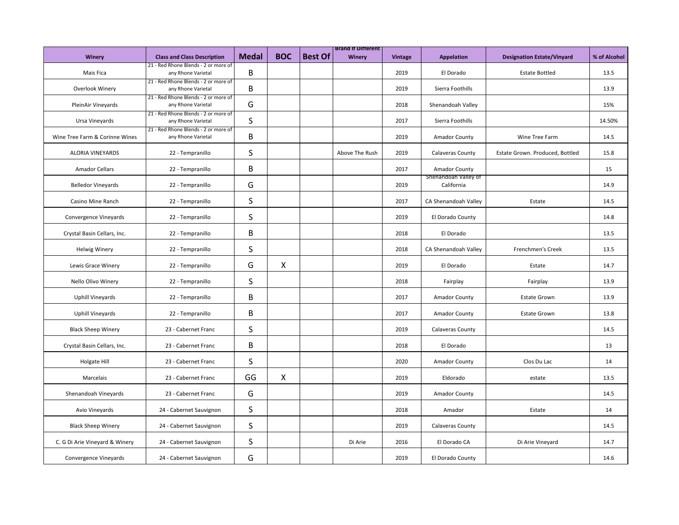|                                |                                                            |              |              |                | <b>Brand It Different</b> |                |                                    |                                   |              |
|--------------------------------|------------------------------------------------------------|--------------|--------------|----------------|---------------------------|----------------|------------------------------------|-----------------------------------|--------------|
| Winery                         | <b>Class and Class Description</b>                         | <b>Medal</b> | <b>BOC</b>   | <b>Best Of</b> | Winery                    | <b>Vintage</b> | Appelation                         | <b>Designation Estate/Vinyard</b> | % of Alcohol |
| Mais Fica                      | 21 - Red Rhone Blends - 2 or more of<br>any Rhone Varietal | B            |              |                |                           | 2019           | El Dorado                          | <b>Estate Bottled</b>             | 13.5         |
| Overlook Winery                | 21 - Red Rhone Blends - 2 or more of<br>any Rhone Varietal | В            |              |                |                           | 2019           | Sierra Foothills                   |                                   | 13.9         |
| PleinAir Vineyards             | 21 - Red Rhone Blends - 2 or more of<br>any Rhone Varietal | G            |              |                |                           | 2018           | Shenandoah Valley                  |                                   | 15%          |
| Ursa Vineyards                 | 21 - Red Rhone Blends - 2 or more of<br>any Rhone Varietal | S            |              |                |                           | 2017           | Sierra Foothills                   |                                   | 14.50%       |
| Wine Tree Farm & Corinne Wines | 21 - Red Rhone Blends - 2 or more of<br>any Rhone Varietal | В            |              |                |                           | 2019           | Amador County                      | Wine Tree Farm                    | 14.5         |
| <b>ALORIA VINEYARDS</b>        | 22 - Tempranillo                                           | S            |              |                | Above The Rush            | 2019           | Calaveras County                   | Estate Grown. Produced, Bottled   | 15.8         |
| <b>Amador Cellars</b>          | 22 - Tempranillo                                           | В            |              |                |                           | 2017           | <b>Amador County</b>               |                                   | 15           |
| <b>Belledor Vineyards</b>      | 22 - Tempranillo                                           | G            |              |                |                           | 2019           | Shenandoah Valley of<br>California |                                   | 14.9         |
| Casino Mine Ranch              | 22 - Tempranillo                                           | S            |              |                |                           | 2017           | CA Shenandoah Valley               | Estate                            | 14.5         |
| Convergence Vineyards          | 22 - Tempranillo                                           | S            |              |                |                           | 2019           | El Dorado County                   |                                   | 14.8         |
| Crystal Basin Cellars, Inc.    | 22 - Tempranillo                                           | В            |              |                |                           | 2018           | El Dorado                          |                                   | 13.5         |
| <b>Helwig Winery</b>           | 22 - Tempranillo                                           | S            |              |                |                           | 2018           | CA Shenandoah Valley               | Frenchmen's Creek                 | 13.5         |
| Lewis Grace Winery             | 22 - Tempranillo                                           | G            | X            |                |                           | 2019           | El Dorado                          | Estate                            | 14.7         |
| Nello Olivo Winery             | 22 - Tempranillo                                           | S            |              |                |                           | 2018           | Fairplay                           | Fairplay                          | 13.9         |
| Uphill Vineyards               | 22 - Tempranillo                                           | B            |              |                |                           | 2017           | Amador County                      | <b>Estate Grown</b>               | 13.9         |
| <b>Uphill Vineyards</b>        | 22 - Tempranillo                                           | B            |              |                |                           | 2017           | <b>Amador County</b>               | <b>Estate Grown</b>               | 13.8         |
| <b>Black Sheep Winery</b>      | 23 - Cabernet Franc                                        | S            |              |                |                           | 2019           | <b>Calaveras County</b>            |                                   | 14.5         |
| Crystal Basin Cellars, Inc.    | 23 - Cabernet Franc                                        | В            |              |                |                           | 2018           | El Dorado                          |                                   | 13           |
| Holgate Hill                   | 23 - Cabernet Franc                                        | S            |              |                |                           | 2020           | <b>Amador County</b>               | Clos Du Lac                       | 14           |
| Marcelais                      | 23 - Cabernet Franc                                        | GG           | $\mathsf{X}$ |                |                           | 2019           | Eldorado                           | estate                            | 13.5         |
| Shenandoah Vineyards           | 23 - Cabernet Franc                                        | G            |              |                |                           | 2019           | Amador County                      |                                   | 14.5         |
| Avio Vineyards                 | 24 - Cabernet Sauvignon                                    | S            |              |                |                           | 2018           | Amador                             | Estate                            | 14           |
| <b>Black Sheep Winery</b>      | 24 - Cabernet Sauvignon                                    | S            |              |                |                           | 2019           | <b>Calaveras County</b>            |                                   | 14.5         |
| C. G Di Arie Vineyard & Winery | 24 - Cabernet Sauvignon                                    | S            |              |                | Di Arie                   | 2016           | El Dorado CA                       | Di Arie Vineyard                  | 14.7         |
| Convergence Vineyards          | 24 - Cabernet Sauvignon                                    | G            |              |                |                           | 2019           | El Dorado County                   |                                   | 14.6         |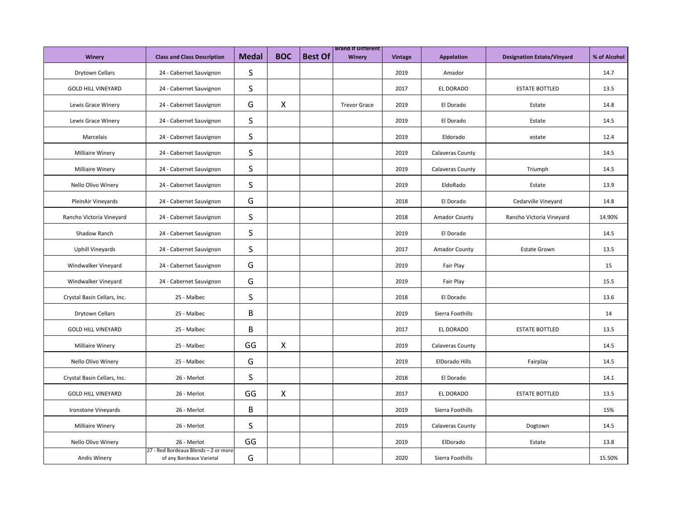|                             |                                                                  |              |                           |                | <b>Brand It Different</b> |                |                      |                                   |              |
|-----------------------------|------------------------------------------------------------------|--------------|---------------------------|----------------|---------------------------|----------------|----------------------|-----------------------------------|--------------|
| Winery                      | <b>Class and Class Description</b>                               | <b>Medal</b> | <b>BOC</b>                | <b>Best Of</b> | Winery                    | <b>Vintage</b> | Appelation           | <b>Designation Estate/Vinyard</b> | % of Alcohol |
| Drytown Cellars             | 24 - Cabernet Sauvignon                                          | S            |                           |                |                           | 2019           | Amador               |                                   | 14.7         |
| <b>GOLD HILL VINEYARD</b>   | 24 - Cabernet Sauvignon                                          | $\sf S$      |                           |                |                           | 2017           | EL DORADO            | <b>ESTATE BOTTLED</b>             | 13.5         |
| Lewis Grace Winery          | 24 - Cabernet Sauvignon                                          | G            | $\boldsymbol{\mathsf{X}}$ |                | <b>Trevor Grace</b>       | 2019           | El Dorado            | Estate                            | 14.8         |
| Lewis Grace Winery          | 24 - Cabernet Sauvignon                                          | S            |                           |                |                           | 2019           | El Dorado            | Estate                            | 14.5         |
| Marcelais                   | 24 - Cabernet Sauvignon                                          | S            |                           |                |                           | 2019           | Eldorado             | estate                            | 12.4         |
| Milliaire Winery            | 24 - Cabernet Sauvignon                                          | S            |                           |                |                           | 2019           | Calaveras County     |                                   | 14.5         |
| Milliaire Winery            | 24 - Cabernet Sauvignon                                          | S            |                           |                |                           | 2019           | Calaveras County     | Triumph                           | 14.5         |
| Nello Olivo Winery          | 24 - Cabernet Sauvignon                                          | S            |                           |                |                           | 2019           | EldoRado             | Estate                            | 13.9         |
| PleinAir Vineyards          | 24 - Cabernet Sauvignon                                          | G            |                           |                |                           | 2018           | El Dorado            | Cedarville Vineyard               | 14.8         |
| Rancho Victoria Vineyard    | 24 - Cabernet Sauvignon                                          | $\sf S$      |                           |                |                           | 2018           | <b>Amador County</b> | Rancho Victoria Vineyard          | 14.90%       |
| Shadow Ranch                | 24 - Cabernet Sauvignon                                          | S            |                           |                |                           | 2019           | El Dorado            |                                   | 14.5         |
| <b>Uphill Vineyards</b>     | 24 - Cabernet Sauvignon                                          | S            |                           |                |                           | 2017           | Amador County        | <b>Estate Grown</b>               | 13.5         |
| Windwalker Vineyard         | 24 - Cabernet Sauvignon                                          | G            |                           |                |                           | 2019           | Fair Play            |                                   | 15           |
| Windwalker Vineyard         | 24 - Cabernet Sauvignon                                          | G            |                           |                |                           | 2019           | Fair Play            |                                   | 15.5         |
| Crystal Basin Cellars, Inc. | 25 - Malbec                                                      | S            |                           |                |                           | 2018           | El Dorado            |                                   | 13.6         |
| Drytown Cellars             | 25 - Malbec                                                      | B            |                           |                |                           | 2019           | Sierra Foothills     |                                   | 14           |
| <b>GOLD HILL VINEYARD</b>   | 25 - Malbec                                                      | B            |                           |                |                           | 2017           | EL DORADO            | <b>ESTATE BOTTLED</b>             | 13.5         |
| <b>Milliaire Winery</b>     | 25 - Malbec                                                      | GG           | X                         |                |                           | 2019           | Calaveras County     |                                   | 14.5         |
| Nello Olivo Winery          | 25 - Malbec                                                      | G            |                           |                |                           | 2019           | ElDorado Hills       | Fairplay                          | 14.5         |
| Crystal Basin Cellars, Inc. | 26 - Merlot                                                      | S            |                           |                |                           | 2018           | El Dorado            |                                   | 14.1         |
| <b>GOLD HILL VINEYARD</b>   | 26 - Merlot                                                      | GG           | X                         |                |                           | 2017           | EL DORADO            | <b>ESTATE BOTTLED</b>             | 13.5         |
| Ironstone Vineyards         | 26 - Merlot                                                      | B            |                           |                |                           | 2019           | Sierra Foothills     |                                   | 15%          |
| Milliaire Winery            | 26 - Merlot                                                      | S            |                           |                |                           | 2019           | Calaveras County     | Dogtown                           | 14.5         |
| Nello Olivo Winery          | 26 - Merlot                                                      | GG           |                           |                |                           | 2019           | ElDorado             | Estate                            | 13.8         |
| <b>Andis Winery</b>         | 27 - Red Bordeaux Blends - 2 or more<br>of any Bordeaux Varietal | G            |                           |                |                           | 2020           | Sierra Foothills     |                                   | 15.50%       |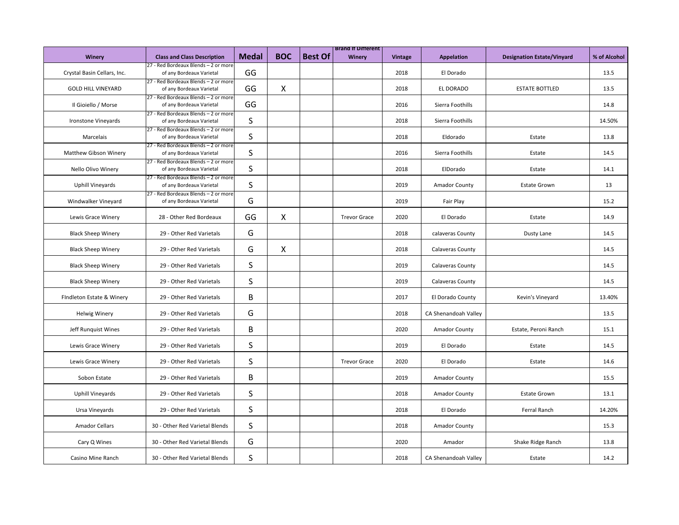|                             |                                                                  |              |              |                | <b>Brand It Different</b> |                |                      |                                   |              |
|-----------------------------|------------------------------------------------------------------|--------------|--------------|----------------|---------------------------|----------------|----------------------|-----------------------------------|--------------|
| <b>Winery</b>               | <b>Class and Class Description</b>                               | <b>Medal</b> | <b>BOC</b>   | <b>Best Of</b> | Winery                    | <b>Vintage</b> | <b>Appelation</b>    | <b>Designation Estate/Vinyard</b> | % of Alcohol |
|                             | 27 - Red Bordeaux Blends - 2 or more                             |              |              |                |                           |                |                      |                                   |              |
| Crystal Basin Cellars, Inc. | of any Bordeaux Varietal                                         | GG           |              |                |                           | 2018           | El Dorado            |                                   | 13.5         |
| <b>GOLD HILL VINEYARD</b>   | 27 - Red Bordeaux Blends - 2 or more<br>of any Bordeaux Varietal | GG           | $\mathsf{X}$ |                |                           | 2018           | EL DORADO            | <b>ESTATE BOTTLED</b>             | 13.5         |
|                             | 27 - Red Bordeaux Blends - 2 or more                             |              |              |                |                           |                |                      |                                   |              |
| Il Gioiello / Morse         | of any Bordeaux Varietal                                         | GG           |              |                |                           | 2016           | Sierra Foothills     |                                   | 14.8         |
|                             | 27 - Red Bordeaux Blends - 2 or more                             |              |              |                |                           |                |                      |                                   |              |
| Ironstone Vineyards         | of any Bordeaux Varietal                                         | S            |              |                |                           | 2018           | Sierra Foothills     |                                   | 14.50%       |
|                             | 27 - Red Bordeaux Blends - 2 or more                             |              |              |                |                           |                |                      |                                   |              |
| Marcelais                   | of any Bordeaux Varietal                                         | S            |              |                |                           | 2018           | Eldorado             | Estate                            | 13.8         |
| Matthew Gibson Winery       | 27 - Red Bordeaux Blends - 2 or more<br>of any Bordeaux Varietal | S            |              |                |                           | 2016           | Sierra Foothills     | Estate                            | 14.5         |
|                             | 27 - Red Bordeaux Blends - 2 or more                             |              |              |                |                           |                |                      |                                   |              |
| Nello Olivo Winery          | of any Bordeaux Varietal                                         | S            |              |                |                           | 2018           | ElDorado             | Estate                            | 14.1         |
|                             | 27 - Red Bordeaux Blends - 2 or more                             |              |              |                |                           |                |                      |                                   |              |
| Uphill Vineyards            | of any Bordeaux Varietal                                         | S            |              |                |                           | 2019           | <b>Amador County</b> | <b>Estate Grown</b>               | 13           |
|                             | 27 - Red Bordeaux Blends - 2 or more                             |              |              |                |                           |                |                      |                                   |              |
| Windwalker Vineyard         | of any Bordeaux Varietal                                         | G            |              |                |                           | 2019           | Fair Play            |                                   | 15.2         |
|                             |                                                                  |              |              |                |                           |                |                      |                                   |              |
| Lewis Grace Winery          | 28 - Other Red Bordeaux                                          | GG           | X            |                | <b>Trevor Grace</b>       | 2020           | El Dorado            | Estate                            | 14.9         |
| <b>Black Sheep Winery</b>   | 29 - Other Red Varietals                                         | G            |              |                |                           | 2018           | calaveras County     | Dusty Lane                        | 14.5         |
|                             |                                                                  |              |              |                |                           |                |                      |                                   |              |
| <b>Black Sheep Winery</b>   | 29 - Other Red Varietals                                         | G            | X            |                |                           | 2018           | Calaveras County     |                                   | 14.5         |
|                             |                                                                  |              |              |                |                           |                |                      |                                   |              |
| <b>Black Sheep Winery</b>   | 29 - Other Red Varietals                                         | S            |              |                |                           | 2019           | Calaveras County     |                                   | 14.5         |
|                             |                                                                  |              |              |                |                           |                |                      |                                   |              |
| <b>Black Sheep Winery</b>   | 29 - Other Red Varietals                                         | S            |              |                |                           | 2019           | Calaveras County     |                                   | 14.5         |
| FIndleton Estate & Winery   | 29 - Other Red Varietals                                         | B            |              |                |                           | 2017           | El Dorado County     | Kevin's Vineyard                  | 13.40%       |
|                             |                                                                  |              |              |                |                           |                |                      |                                   |              |
| <b>Helwig Winery</b>        | 29 - Other Red Varietals                                         | G            |              |                |                           | 2018           | CA Shenandoah Valley |                                   | 13.5         |
|                             |                                                                  |              |              |                |                           |                |                      |                                   |              |
| Jeff Runquist Wines         | 29 - Other Red Varietals                                         | B            |              |                |                           | 2020           | <b>Amador County</b> | Estate, Peroni Ranch              | 15.1         |
|                             |                                                                  |              |              |                |                           |                |                      |                                   |              |
| Lewis Grace Winery          | 29 - Other Red Varietals                                         | S            |              |                |                           | 2019           | El Dorado            | Estate                            | 14.5         |
|                             |                                                                  | S            |              |                |                           |                |                      |                                   |              |
| Lewis Grace Winery          | 29 - Other Red Varietals                                         |              |              |                | <b>Trevor Grace</b>       | 2020           | El Dorado            | Estate                            | 14.6         |
| Sobon Estate                | 29 - Other Red Varietals                                         | B            |              |                |                           | 2019           | <b>Amador County</b> |                                   | 15.5         |
|                             |                                                                  |              |              |                |                           |                |                      |                                   |              |
| <b>Uphill Vineyards</b>     | 29 - Other Red Varietals                                         | S            |              |                |                           | 2018           | <b>Amador County</b> | <b>Estate Grown</b>               | 13.1         |
|                             |                                                                  |              |              |                |                           |                |                      |                                   |              |
| Ursa Vineyards              | 29 - Other Red Varietals                                         | S            |              |                |                           | 2018           | El Dorado            | Ferral Ranch                      | 14.20%       |
|                             |                                                                  |              |              |                |                           |                |                      |                                   |              |
| <b>Amador Cellars</b>       | 30 - Other Red Varietal Blends                                   | S            |              |                |                           | 2018           | <b>Amador County</b> |                                   | 15.3         |
| Cary Q Wines                | 30 - Other Red Varietal Blends                                   | G            |              |                |                           | 2020           | Amador               | Shake Ridge Ranch                 | 13.8         |
|                             |                                                                  |              |              |                |                           |                |                      |                                   |              |
| Casino Mine Ranch           | 30 - Other Red Varietal Blends                                   | S            |              |                |                           | 2018           | CA Shenandoah Valley | Estate                            | 14.2         |
|                             |                                                                  |              |              |                |                           |                |                      |                                   |              |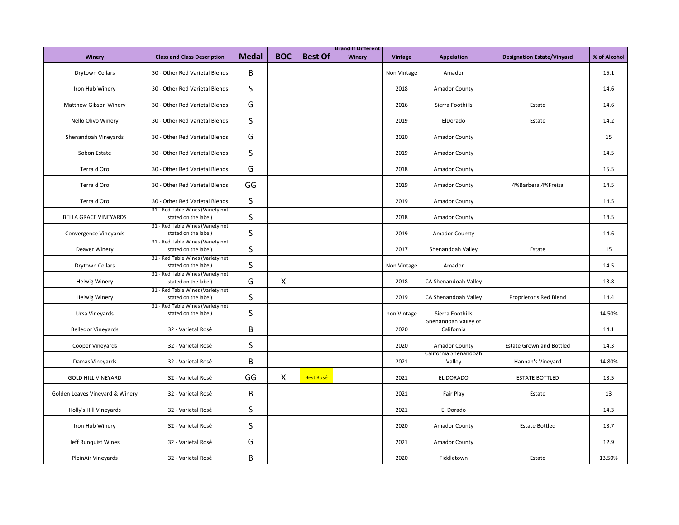|                                 |                                                           |              |            |                  | <b>Brand It Different</b> |                |                                    |                                   |              |
|---------------------------------|-----------------------------------------------------------|--------------|------------|------------------|---------------------------|----------------|------------------------------------|-----------------------------------|--------------|
| <b>Winery</b>                   | <b>Class and Class Description</b>                        | <b>Medal</b> | <b>BOC</b> | <b>Best Of</b>   | Winery                    | <b>Vintage</b> | <b>Appelation</b>                  | <b>Designation Estate/Vinyard</b> | % of Alcohol |
| Drytown Cellars                 | 30 - Other Red Varietal Blends                            | B            |            |                  |                           | Non Vintage    | Amador                             |                                   | 15.1         |
| Iron Hub Winery                 | 30 - Other Red Varietal Blends                            | $\sf S$      |            |                  |                           | 2018           | <b>Amador County</b>               |                                   | 14.6         |
| Matthew Gibson Winery           | 30 - Other Red Varietal Blends                            | G            |            |                  |                           | 2016           | Sierra Foothills                   | Estate                            | 14.6         |
| Nello Olivo Winery              | 30 - Other Red Varietal Blends                            | S            |            |                  |                           | 2019           | ElDorado                           | Estate                            | 14.2         |
| Shenandoah Vineyards            | 30 - Other Red Varietal Blends                            | G            |            |                  |                           | 2020           | <b>Amador County</b>               |                                   | 15           |
| Sobon Estate                    | 30 - Other Red Varietal Blends                            | S            |            |                  |                           | 2019           | Amador County                      |                                   | 14.5         |
| Terra d'Oro                     | 30 - Other Red Varietal Blends                            | G            |            |                  |                           | 2018           | <b>Amador County</b>               |                                   | 15.5         |
| Terra d'Oro                     | 30 - Other Red Varietal Blends                            | GG           |            |                  |                           | 2019           | <b>Amador County</b>               | 4%Barbera, 4%Freisa               | 14.5         |
| Terra d'Oro                     | 30 - Other Red Varietal Blends                            | S            |            |                  |                           | 2019           | <b>Amador County</b>               |                                   | 14.5         |
| <b>BELLA GRACE VINEYARDS</b>    | 31 - Red Table Wines (Variety not<br>stated on the label) | S            |            |                  |                           | 2018           | <b>Amador County</b>               |                                   | 14.5         |
| Convergence Vineyards           | 31 - Red Table Wines (Variety not<br>stated on the label) | S            |            |                  |                           | 2019           | Amador Coumty                      |                                   | 14.6         |
| Deaver Winery                   | 31 - Red Table Wines (Variety not<br>stated on the label) | S            |            |                  |                           | 2017           | Shenandoah Valley                  | Estate                            | 15           |
| <b>Drytown Cellars</b>          | 31 - Red Table Wines (Variety not<br>stated on the label) | S            |            |                  |                           | Non Vintage    | Amador                             |                                   | 14.5         |
| <b>Helwig Winery</b>            | 31 - Red Table Wines (Variety not<br>stated on the label) | G            | X          |                  |                           | 2018           | CA Shenandoah Valley               |                                   | 13.8         |
| <b>Helwig Winery</b>            | 31 - Red Table Wines (Variety not<br>stated on the label) | S            |            |                  |                           | 2019           | CA Shenandoah Valley               | Proprietor's Red Blend            | 14.4         |
| Ursa Vineyards                  | 31 - Red Table Wines (Variety not<br>stated on the label) | S            |            |                  |                           | non Vintage    | Sierra Foothills                   |                                   | 14.50%       |
| <b>Belledor Vineyards</b>       | 32 - Varietal Rosé                                        | B            |            |                  |                           | 2020           | Shenandoah Valley of<br>California |                                   | 14.1         |
| Cooper Vineyards                | 32 - Varietal Rosé                                        | S            |            |                  |                           | 2020           | <b>Amador County</b>               | <b>Estate Grown and Bottled</b>   | 14.3         |
| Damas Vineyards                 | 32 - Varietal Rosé                                        | В            |            |                  |                           | 2021           | California Shenandoah<br>Valley    | Hannah's Vineyard                 | 14.80%       |
| <b>GOLD HILL VINEYARD</b>       | 32 - Varietal Rosé                                        | GG           | X          | <b>Best Rosé</b> |                           | 2021           | EL DORADO                          | <b>ESTATE BOTTLED</b>             | 13.5         |
| Golden Leaves Vineyard & Winery | 32 - Varietal Rosé                                        | B            |            |                  |                           | 2021           | Fair Play                          | Estate                            | 13           |
| Holly's Hill Vineyards          | 32 - Varietal Rosé                                        | S            |            |                  |                           | 2021           | El Dorado                          |                                   | 14.3         |
| Iron Hub Winery                 | 32 - Varietal Rosé                                        | S            |            |                  |                           | 2020           | <b>Amador County</b>               | <b>Estate Bottled</b>             | 13.7         |
| Jeff Runquist Wines             | 32 - Varietal Rosé                                        | G            |            |                  |                           | 2021           | <b>Amador County</b>               |                                   | 12.9         |
| PleinAir Vineyards              | 32 - Varietal Rosé                                        | В            |            |                  |                           | 2020           | Fiddletown                         | Estate                            | 13.50%       |